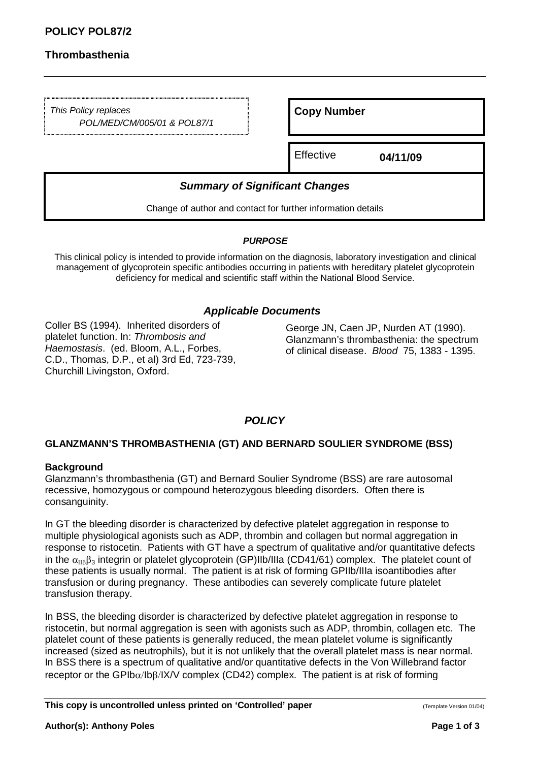# **Thrombasthenia**

This Policy replaces POL/MED/CM/005/01 & POL87/1

**Copy Number** 

Effective **04/11/09** 

# **Summary of Significant Changes**

Change of author and contact for further information details

#### **PURPOSE**

This clinical policy is intended to provide information on the diagnosis, laboratory investigation and clinical management of glycoprotein specific antibodies occurring in patients with hereditary platelet glycoprotein deficiency for medical and scientific staff within the National Blood Service.

## **Applicable Documents**

Coller BS (1994). Inherited disorders of platelet function. In: Thrombosis and Haemostasis. (ed. Bloom, A.L., Forbes, C.D., Thomas, D.P., et al) 3rd Ed, 723-739, Churchill Livingston, Oxford.

George JN, Caen JP, Nurden AT (1990). Glanzmann's thrombasthenia: the spectrum of clinical disease. Blood 75, 1383 - 1395.

## **POLICY**

### **GLANZMANN'S THROMBASTHENIA (GT) AND BERNARD SOULIER SYNDROME (BSS)**

### **Background**

Glanzmann's thrombasthenia (GT) and Bernard Soulier Syndrome (BSS) are rare autosomal recessive, homozygous or compound heterozygous bleeding disorders. Often there is consanguinity.

In GT the bleeding disorder is characterized by defective platelet aggregation in response to multiple physiological agonists such as ADP, thrombin and collagen but normal aggregation in response to ristocetin. Patients with GT have a spectrum of qualitative and/or quantitative defects in the  $\alpha_{IB}\beta_3$  integrin or platelet glycoprotein (GP)IIb/IIIa (CD41/61) complex. The platelet count of these patients is usually normal. The patient is at risk of forming GPIIb/IIIa isoantibodies after transfusion or during pregnancy. These antibodies can severely complicate future platelet transfusion therapy.

In BSS, the bleeding disorder is characterized by defective platelet aggregation in response to ristocetin, but normal aggregation is seen with agonists such as ADP, thrombin, collagen etc. The platelet count of these patients is generally reduced, the mean platelet volume is significantly increased (sized as neutrophils), but it is not unlikely that the overall platelet mass is near normal. In BSS there is a spectrum of qualitative and/or quantitative defects in the Von Willebrand factor receptor or the GPIbα/Ibβ/IX/V complex (CD42) complex. The patient is at risk of forming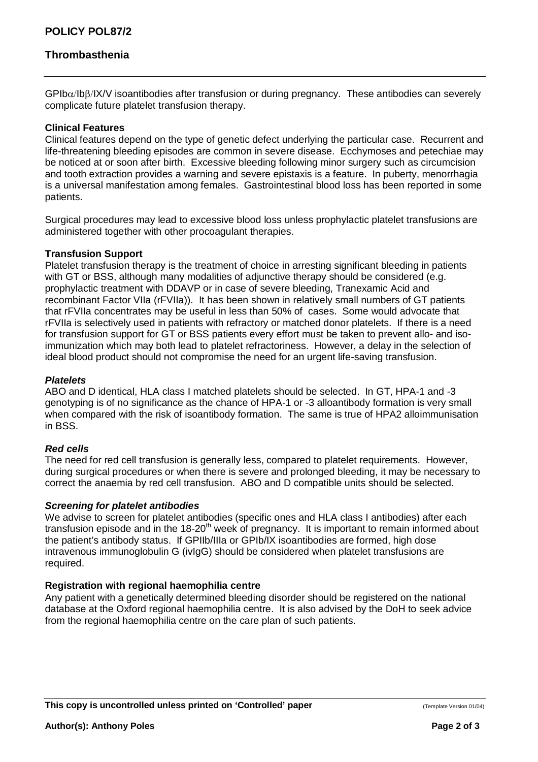# **Thrombasthenia**

 $GPIb\alpha/IB\beta/IX/V$  isoantibodies after transfusion or during pregnancy. These antibodies can severely complicate future platelet transfusion therapy.

#### **Clinical Features**

Clinical features depend on the type of genetic defect underlying the particular case. Recurrent and life-threatening bleeding episodes are common in severe disease. Ecchymoses and petechiae may be noticed at or soon after birth. Excessive bleeding following minor surgery such as circumcision and tooth extraction provides a warning and severe epistaxis is a feature. In puberty, menorrhagia is a universal manifestation among females. Gastrointestinal blood loss has been reported in some patients.

Surgical procedures may lead to excessive blood loss unless prophylactic platelet transfusions are administered together with other procoagulant therapies.

#### **Transfusion Support**

Platelet transfusion therapy is the treatment of choice in arresting significant bleeding in patients with GT or BSS, although many modalities of adjunctive therapy should be considered (e.g. prophylactic treatment with DDAVP or in case of severe bleeding, Tranexamic Acid and recombinant Factor VIIa (rFVIIa)). It has been shown in relatively small numbers of GT patients that rFVIIa concentrates may be useful in less than 50% of cases. Some would advocate that rFVIIa is selectively used in patients with refractory or matched donor platelets. If there is a need for transfusion support for GT or BSS patients every effort must be taken to prevent allo- and isoimmunization which may both lead to platelet refractoriness. However, a delay in the selection of ideal blood product should not compromise the need for an urgent life-saving transfusion.

#### **Platelets**

ABO and D identical, HLA class I matched platelets should be selected. In GT, HPA-1 and -3 genotyping is of no significance as the chance of HPA-1 or -3 alloantibody formation is very small when compared with the risk of isoantibody formation. The same is true of HPA2 alloimmunisation in BSS.

#### **Red cells**

The need for red cell transfusion is generally less, compared to platelet requirements. However, during surgical procedures or when there is severe and prolonged bleeding, it may be necessary to correct the anaemia by red cell transfusion. ABO and D compatible units should be selected.

#### **Screening for platelet antibodies**

We advise to screen for platelet antibodies (specific ones and HLA class I antibodies) after each transfusion episode and in the  $18{\text -}20^{\text{th}}$  week of pregnancy. It is important to remain informed about the patient's antibody status. If GPIIb/IIIa or GPIb/IX isoantibodies are formed, high dose intravenous immunoglobulin G (ivIgG) should be considered when platelet transfusions are required.

### **Registration with regional haemophilia centre**

Any patient with a genetically determined bleeding disorder should be registered on the national database at the Oxford regional haemophilia centre. It is also advised by the DoH to seek advice from the regional haemophilia centre on the care plan of such patients.